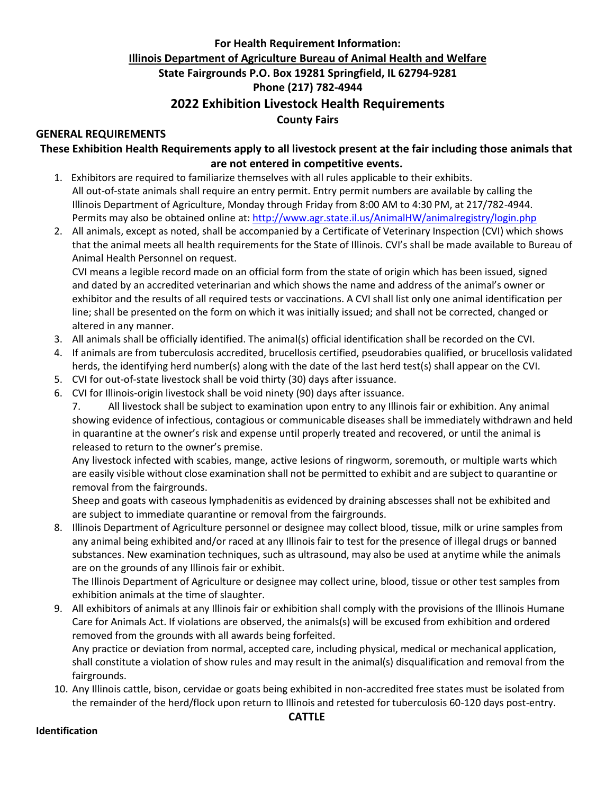## **For Health Requirement Information: Illinois Department of Agriculture Bureau of Animal Health and Welfare State Fairgrounds P.O. Box 19281 Springfield, IL 62794-9281 Phone (217) 782-4944 2022 Exhibition Livestock Health Requirements County Fairs**

## **GENERAL REQUIREMENTS**

**These Exhibition Health Requirements apply to all livestock present at the fair including those animals that are not entered in competitive events.**

- 1. Exhibitors are required to familiarize themselves with all rules applicable to their exhibits. All out-of-state animals shall require an entry permit. Entry permit numbers are available by calling the Illinois Department of Agriculture, Monday through Friday from 8:00 AM to 4:30 PM, at 217/782-4944. Permits may also be obtained online at: <http://www.agr.state.il.us/AnimalHW/animalregistry/login.php>
- 2. All animals, except as noted, shall be accompanied by a Certificate of Veterinary Inspection (CVI) which shows that the animal meets all health requirements for the State of Illinois. CVI's shall be made available to Bureau of Animal Health Personnel on request.

CVI means a legible record made on an official form from the state of origin which has been issued, signed and dated by an accredited veterinarian and which shows the name and address of the animal's owner or exhibitor and the results of all required tests or vaccinations. A CVI shall list only one animal identification per line; shall be presented on the form on which it was initially issued; and shall not be corrected, changed or altered in any manner.

- 3. All animals shall be officially identified. The animal(s) official identification shall be recorded on the CVI.
- 4. If animals are from tuberculosis accredited, brucellosis certified, pseudorabies qualified, or brucellosis validated herds, the identifying herd number(s) along with the date of the last herd test(s) shall appear on the CVI.
- 5. CVI for out-of-state livestock shall be void thirty (30) days after issuance.
- 6. CVI for Illinois-origin livestock shall be void ninety (90) days after issuance.
	- 7. All livestock shall be subject to examination upon entry to any Illinois fair or exhibition. Any animal showing evidence of infectious, contagious or communicable diseases shall be immediately withdrawn and held in quarantine at the owner's risk and expense until properly treated and recovered, or until the animal is released to return to the owner's premise.

Any livestock infected with scabies, mange, active lesions of ringworm, soremouth, or multiple warts which are easily visible without close examination shall not be permitted to exhibit and are subject to quarantine or removal from the fairgrounds.

Sheep and goats with caseous lymphadenitis as evidenced by draining abscesses shall not be exhibited and are subject to immediate quarantine or removal from the fairgrounds.

8. Illinois Department of Agriculture personnel or designee may collect blood, tissue, milk or urine samples from any animal being exhibited and/or raced at any Illinois fair to test for the presence of illegal drugs or banned substances. New examination techniques, such as ultrasound, may also be used at anytime while the animals are on the grounds of any Illinois fair or exhibit.

The Illinois Department of Agriculture or designee may collect urine, blood, tissue or other test samples from exhibition animals at the time of slaughter.

9. All exhibitors of animals at any Illinois fair or exhibition shall comply with the provisions of the Illinois Humane Care for Animals Act. If violations are observed, the animals(s) will be excused from exhibition and ordered removed from the grounds with all awards being forfeited.

Any practice or deviation from normal, accepted care, including physical, medical or mechanical application, shall constitute a violation of show rules and may result in the animal(s) disqualification and removal from the fairgrounds.

10. Any Illinois cattle, bison, cervidae or goats being exhibited in non-accredited free states must be isolated from the remainder of the herd/flock upon return to Illinois and retested for tuberculosis 60-120 days post-entry.

#### **Identification**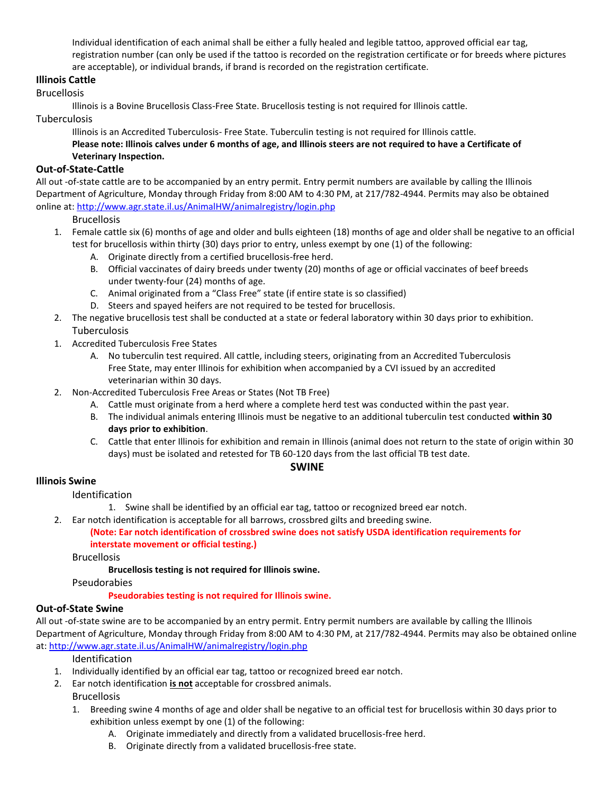Individual identification of each animal shall be either a fully healed and legible tattoo, approved official ear tag, registration number (can only be used if the tattoo is recorded on the registration certificate or for breeds where pictures are acceptable), or individual brands, if brand is recorded on the registration certificate.

## **Illinois Cattle**

#### Brucellosis

Illinois is a Bovine Brucellosis Class-Free State. Brucellosis testing is not required for Illinois cattle.

## Tuberculosis

Illinois is an Accredited Tuberculosis- Free State. Tuberculin testing is not required for Illinois cattle. **Please note: Illinois calves under 6 months of age, and Illinois steers are not required to have a Certificate of Veterinary Inspection.**

## **Out-of-State-Cattle**

All out -of-state cattle are to be accompanied by an entry permit. Entry permit numbers are available by calling the Illinois Department of Agriculture, Monday through Friday from 8:00 AM to 4:30 PM, at 217/782-4944. Permits may also be obtained online at[: http://www.agr.state.il.us/AnimalHW/animalregistry/login.php](http://www.agr.state.il.us/AnimalHW/animalregistry/login.php)

**Brucellosis** 

- 1. Female cattle six (6) months of age and older and bulls eighteen (18) months of age and older shall be negative to an official test for brucellosis within thirty (30) days prior to entry, unless exempt by one (1) of the following:
	- A. Originate directly from a certified brucellosis-free herd.
	- B. Official vaccinates of dairy breeds under twenty (20) months of age or official vaccinates of beef breeds under twenty-four (24) months of age.
	- C. Animal originated from a "Class Free" state (if entire state is so classified)
	- D. Steers and spayed heifers are not required to be tested for brucellosis.
- 2. The negative brucellosis test shall be conducted at a state or federal laboratory within 30 days prior to exhibition. Tuberculosis
- 1. Accredited Tuberculosis Free States
	- A. No tuberculin test required. All cattle, including steers, originating from an Accredited Tuberculosis Free State, may enter Illinois for exhibition when accompanied by a CVI issued by an accredited veterinarian within 30 days.
- 2. Non-Accredited Tuberculosis Free Areas or States (Not TB Free)
	- A. Cattle must originate from a herd where a complete herd test was conducted within the past year.
	- B. The individual animals entering Illinois must be negative to an additional tuberculin test conducted **within 30 days prior to exhibition**.
	- C. Cattle that enter Illinois for exhibition and remain in Illinois (animal does not return to the state of origin within 30 days) must be isolated and retested for TB 60-120 days from the last official TB test date.

#### **SWINE**

## **Illinois Swine**

- Identification
	- 1. Swine shall be identified by an official ear tag, tattoo or recognized breed ear notch.
- 2. Ear notch identification is acceptable for all barrows, crossbred gilts and breeding swine.

## **(Note: Ear notch identification of crossbred swine does not satisfy USDA identification requirements for interstate movement or official testing.)**

Brucellosis

#### **Brucellosis testing is not required for Illinois swine.**

Pseudorabies

#### **Pseudorabies testing is not required for Illinois swine.**

#### **Out-of-State Swine**

All out -of-state swine are to be accompanied by an entry permit. Entry permit numbers are available by calling the Illinois Department of Agriculture, Monday through Friday from 8:00 AM to 4:30 PM, at 217/782-4944. Permits may also be obtained online at:<http://www.agr.state.il.us/AnimalHW/animalregistry/login.php>

Identification

- 1. Individually identified by an official ear tag, tattoo or recognized breed ear notch.
- 2. Ear notch identification **is not** acceptable for crossbred animals.

#### **Brucellosis**

- 1. Breeding swine 4 months of age and older shall be negative to an official test for brucellosis within 30 days prior to exhibition unless exempt by one (1) of the following:
	- A. Originate immediately and directly from a validated brucellosis-free herd.
	- B. Originate directly from a validated brucellosis-free state.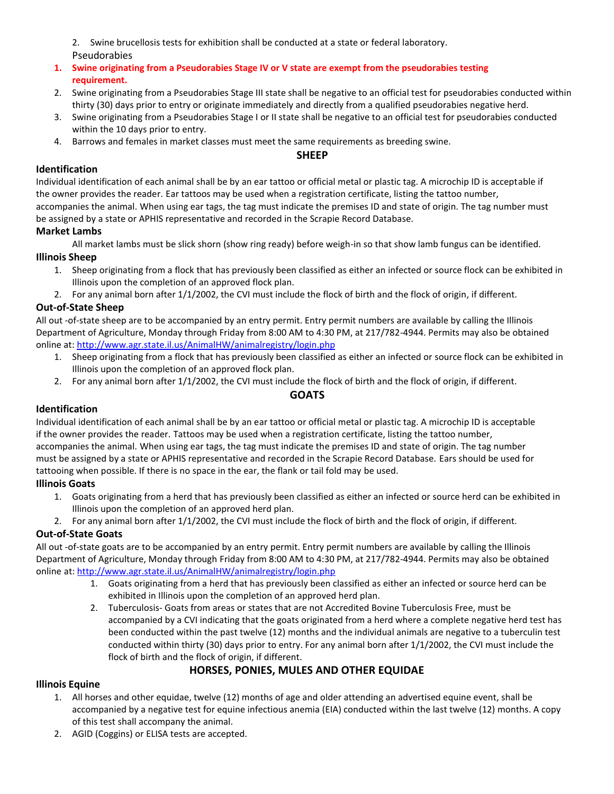2. Swine brucellosis tests for exhibition shall be conducted at a state or federal laboratory. Pseudorabies

- **1. Swine originating from a Pseudorabies Stage IV or V state are exempt from the pseudorabies testing requirement.**
- 2. Swine originating from a Pseudorabies Stage III state shall be negative to an official test for pseudorabies conducted within thirty (30) days prior to entry or originate immediately and directly from a qualified pseudorabies negative herd.
- 3. Swine originating from a Pseudorabies Stage I or II state shall be negative to an official test for pseudorabies conducted within the 10 days prior to entry.
- 4. Barrows and females in market classes must meet the same requirements as breeding swine.

## **SHEEP**

## **Identification**

Individual identification of each animal shall be by an ear tattoo or official metal or plastic tag. A microchip ID is acceptable if the owner provides the reader. Ear tattoos may be used when a registration certificate, listing the tattoo number, accompanies the animal. When using ear tags, the tag must indicate the premises ID and state of origin. The tag number must be assigned by a state or APHIS representative and recorded in the Scrapie Record Database.

## **Market Lambs**

All market lambs must be slick shorn (show ring ready) before weigh-in so that show lamb fungus can be identified.

## **Illinois Sheep**

- 1. Sheep originating from a flock that has previously been classified as either an infected or source flock can be exhibited in Illinois upon the completion of an approved flock plan.
- 2. For any animal born after 1/1/2002, the CVI must include the flock of birth and the flock of origin, if different.

## **Out-of-State Sheep**

All out -of-state sheep are to be accompanied by an entry permit. Entry permit numbers are available by calling the Illinois Department of Agriculture, Monday through Friday from 8:00 AM to 4:30 PM, at 217/782-4944. Permits may also be obtained online at[: http://www.agr.state.il.us/AnimalHW/animalregistry/login.php](http://www.agr.state.il.us/AnimalHW/animalregistry/login.php)

- 1. Sheep originating from a flock that has previously been classified as either an infected or source flock can be exhibited in Illinois upon the completion of an approved flock plan.
- 2. For any animal born after 1/1/2002, the CVI must include the flock of birth and the flock of origin, if different.

## **GOATS**

## **Identification**

Individual identification of each animal shall be by an ear tattoo or official metal or plastic tag. A microchip ID is acceptable if the owner provides the reader. Tattoos may be used when a registration certificate, listing the tattoo number, accompanies the animal. When using ear tags, the tag must indicate the premises ID and state of origin. The tag number must be assigned by a state or APHIS representative and recorded in the Scrapie Record Database. Ears should be used for tattooing when possible. If there is no space in the ear, the flank or tail fold may be used.

## **Illinois Goats**

- 1. Goats originating from a herd that has previously been classified as either an infected or source herd can be exhibited in Illinois upon the completion of an approved herd plan.
- 2. For any animal born after 1/1/2002, the CVI must include the flock of birth and the flock of origin, if different.

## **Out-of-State Goats**

All out -of-state goats are to be accompanied by an entry permit. Entry permit numbers are available by calling the Illinois Department of Agriculture, Monday through Friday from 8:00 AM to 4:30 PM, at 217/782-4944. Permits may also be obtained online at: <http://www.agr.state.il.us/AnimalHW/animalregistry/login.php>

- 1. Goats originating from a herd that has previously been classified as either an infected or source herd can be exhibited in Illinois upon the completion of an approved herd plan.
- 2. Tuberculosis- Goats from areas or states that are not Accredited Bovine Tuberculosis Free, must be accompanied by a CVI indicating that the goats originated from a herd where a complete negative herd test has been conducted within the past twelve (12) months and the individual animals are negative to a tuberculin test conducted within thirty (30) days prior to entry. For any animal born after 1/1/2002, the CVI must include the flock of birth and the flock of origin, if different.

## **HORSES, PONIES, MULES AND OTHER EQUIDAE**

## **Illinois Equine**

- 1. All horses and other equidae, twelve (12) months of age and older attending an advertised equine event, shall be accompanied by a negative test for equine infectious anemia (EIA) conducted within the last twelve (12) months. A copy of this test shall accompany the animal.
- 2. AGID (Coggins) or ELISA tests are accepted.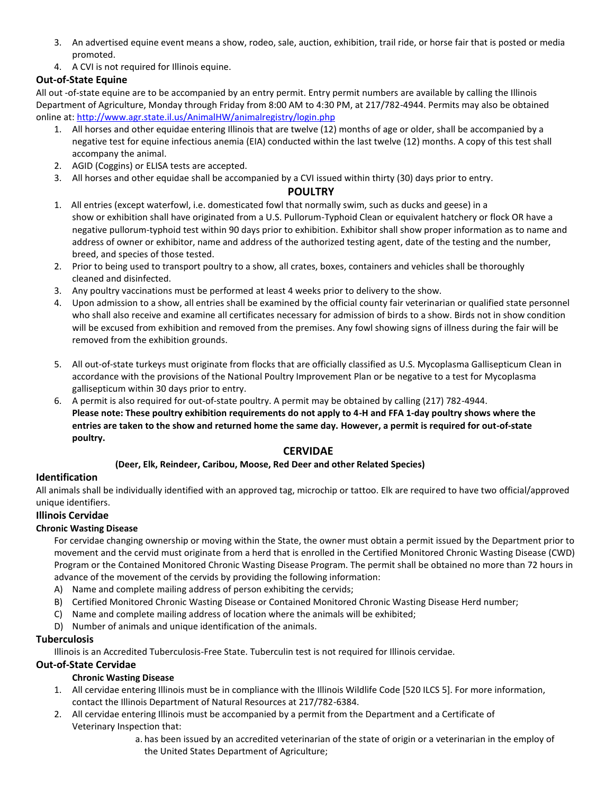- 3. An advertised equine event means a show, rodeo, sale, auction, exhibition, trail ride, or horse fair that is posted or media promoted.
- 4. A CVI is not required for Illinois equine.

## **Out-of-State Equine**

All out -of-state equine are to be accompanied by an entry permit. Entry permit numbers are available by calling the Illinois Department of Agriculture, Monday through Friday from 8:00 AM to 4:30 PM, at 217/782-4944. Permits may also be obtained online at[: http://www.agr.state.il.us/AnimalHW/animalregistry/login.php](http://www.agr.state.il.us/AnimalHW/animalregistry/login.php)

- 1. All horses and other equidae entering Illinois that are twelve (12) months of age or older, shall be accompanied by a negative test for equine infectious anemia (EIA) conducted within the last twelve (12) months. A copy of this test shall accompany the animal.
- 2. AGID (Coggins) or ELISA tests are accepted.
- 3. All horses and other equidae shall be accompanied by a CVI issued within thirty (30) days prior to entry.

## **POULTRY**

- 1. All entries (except waterfowl, i.e. domesticated fowl that normally swim, such as ducks and geese) in a show or exhibition shall have originated from a U.S. Pullorum-Typhoid Clean or equivalent hatchery or flock OR have a negative pullorum-typhoid test within 90 days prior to exhibition. Exhibitor shall show proper information as to name and address of owner or exhibitor, name and address of the authorized testing agent, date of the testing and the number, breed, and species of those tested.
- 2. Prior to being used to transport poultry to a show, all crates, boxes, containers and vehicles shall be thoroughly cleaned and disinfected.
- 3. Any poultry vaccinations must be performed at least 4 weeks prior to delivery to the show.
- 4. Upon admission to a show, all entries shall be examined by the official county fair veterinarian or qualified state personnel who shall also receive and examine all certificates necessary for admission of birds to a show. Birds not in show condition will be excused from exhibition and removed from the premises. Any fowl showing signs of illness during the fair will be removed from the exhibition grounds.
- 5. All out-of-state turkeys must originate from flocks that are officially classified as U.S. Mycoplasma Gallisepticum Clean in accordance with the provisions of the National Poultry Improvement Plan or be negative to a test for Mycoplasma gallisepticum within 30 days prior to entry.
- 6. A permit is also required for out-of-state poultry. A permit may be obtained by calling (217) 782-4944. **Please note: These poultry exhibition requirements do not apply to 4-H and FFA 1-day poultry shows where the entries are taken to the show and returned home the same day. However, a permit is required for out-of-state poultry.**

## **CERVIDAE**

## **(Deer, Elk, Reindeer, Caribou, Moose, Red Deer and other Related Species)**

## **Identification**

All animals shall be individually identified with an approved tag, microchip or tattoo. Elk are required to have two official/approved unique identifiers.

## **Illinois Cervidae**

## **Chronic Wasting Disease**

For cervidae changing ownership or moving within the State, the owner must obtain a permit issued by the Department prior to movement and the cervid must originate from a herd that is enrolled in the Certified Monitored Chronic Wasting Disease (CWD) Program or the Contained Monitored Chronic Wasting Disease Program. The permit shall be obtained no more than 72 hours in advance of the movement of the cervids by providing the following information:

- A) Name and complete mailing address of person exhibiting the cervids;
- B) Certified Monitored Chronic Wasting Disease or Contained Monitored Chronic Wasting Disease Herd number;
- C) Name and complete mailing address of location where the animals will be exhibited;
- D) Number of animals and unique identification of the animals.

## **Tuberculosis**

Illinois is an Accredited Tuberculosis-Free State. Tuberculin test is not required for Illinois cervidae.

## **Out-of-State Cervidae**

## **Chronic Wasting Disease**

- 1. All cervidae entering Illinois must be in compliance with the Illinois Wildlife Code [520 ILCS 5]. For more information, contact the Illinois Department of Natural Resources at 217/782-6384.
- 2. All cervidae entering Illinois must be accompanied by a permit from the Department and a Certificate of Veterinary Inspection that:

a. has been issued by an accredited veterinarian of the state of origin or a veterinarian in the employ of the United States Department of Agriculture;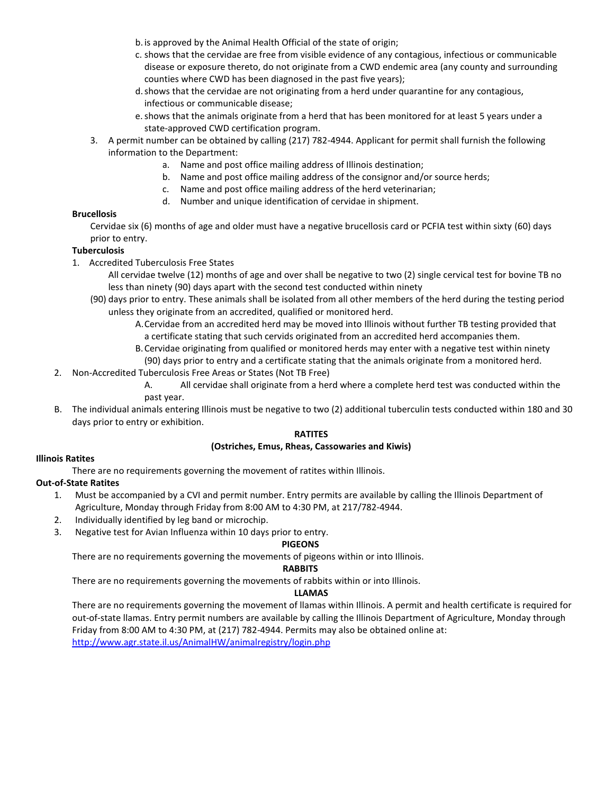- b.is approved by the Animal Health Official of the state of origin;
- c. shows that the cervidae are free from visible evidence of any contagious, infectious or communicable disease or exposure thereto, do not originate from a CWD endemic area (any county and surrounding counties where CWD has been diagnosed in the past five years);
- d.shows that the cervidae are not originating from a herd under quarantine for any contagious, infectious or communicable disease;
- e.shows that the animals originate from a herd that has been monitored for at least 5 years under a state-approved CWD certification program.
- 3. A permit number can be obtained by calling (217) 782-4944. Applicant for permit shall furnish the following information to the Department:
	- a. Name and post office mailing address of Illinois destination;
	- b. Name and post office mailing address of the consignor and/or source herds;
	- c. Name and post office mailing address of the herd veterinarian;
	- d. Number and unique identification of cervidae in shipment.

#### **Brucellosis**

Cervidae six (6) months of age and older must have a negative brucellosis card or PCFIA test within sixty (60) days prior to entry.

#### **Tuberculosis**

- 1. Accredited Tuberculosis Free States
	- All cervidae twelve (12) months of age and over shall be negative to two (2) single cervical test for bovine TB no less than ninety (90) days apart with the second test conducted within ninety
	- (90) days prior to entry. These animals shall be isolated from all other members of the herd during the testing period unless they originate from an accredited, qualified or monitored herd.
		- A.Cervidae from an accredited herd may be moved into Illinois without further TB testing provided that a certificate stating that such cervids originated from an accredited herd accompanies them.
		- B.Cervidae originating from qualified or monitored herds may enter with a negative test within ninety (90) days prior to entry and a certificate stating that the animals originate from a monitored herd.
- 2. Non-Accredited Tuberculosis Free Areas or States (Not TB Free)
	- A. All cervidae shall originate from a herd where a complete herd test was conducted within the past year.
- B. The individual animals entering Illinois must be negative to two (2) additional tuberculin tests conducted within 180 and 30 days prior to entry or exhibition.

#### **RATITES**

#### **(Ostriches, Emus, Rheas, Cassowaries and Kiwis)**

#### **Illinois Ratites**

There are no requirements governing the movement of ratites within Illinois.

#### **Out-of-State Ratites**

- 1. Must be accompanied by a CVI and permit number. Entry permits are available by calling the Illinois Department of Agriculture, Monday through Friday from 8:00 AM to 4:30 PM, at 217/782-4944.
- 2. Individually identified by leg band or microchip.
- 3. Negative test for Avian Influenza within 10 days prior to entry.

#### **PIGEONS**

There are no requirements governing the movements of pigeons within or into Illinois.

#### **RABBITS**

There are no requirements governing the movements of rabbits within or into Illinois.

#### **LLAMAS**

There are no requirements governing the movement of llamas within Illinois. A permit and health certificate is required for out-of-state llamas. Entry permit numbers are available by calling the Illinois Department of Agriculture, Monday through Friday from 8:00 AM to 4:30 PM, at (217) 782-4944. Permits may also be obtained online at: <http://www.agr.state.il.us/AnimalHW/animalregistry/login.php>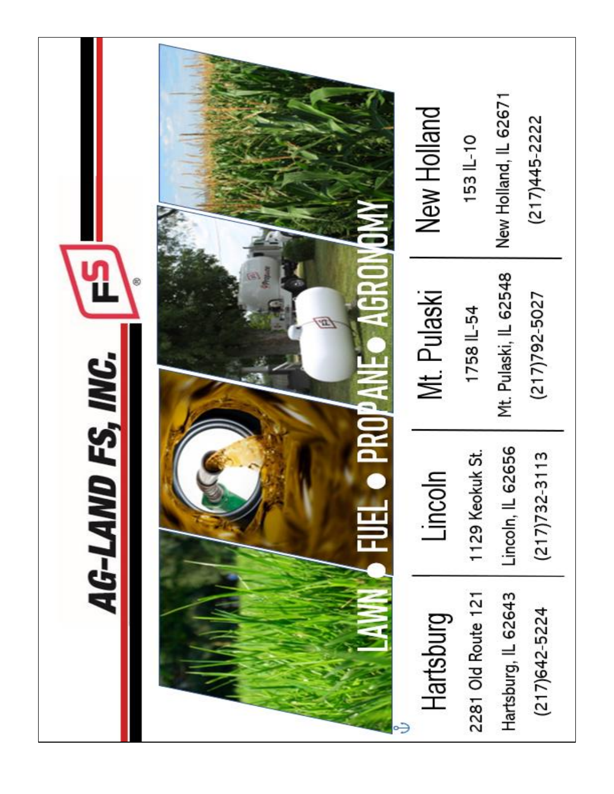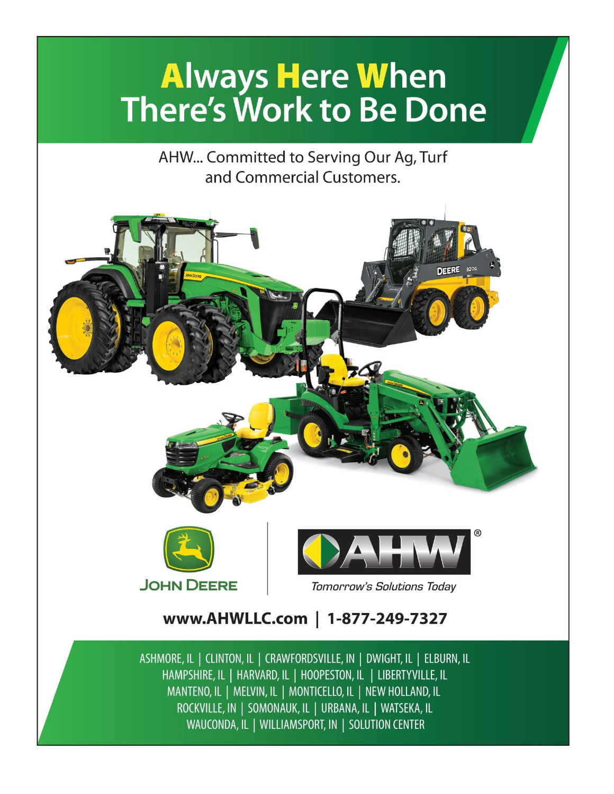# **Always Here When There's Work to Be Done**

AHW... Committed to Serving Our Ag, Turf and Commercial Customers.



WAUCONDA, IL | WILLIAMSPORT, IN | SOLUTION CENTER